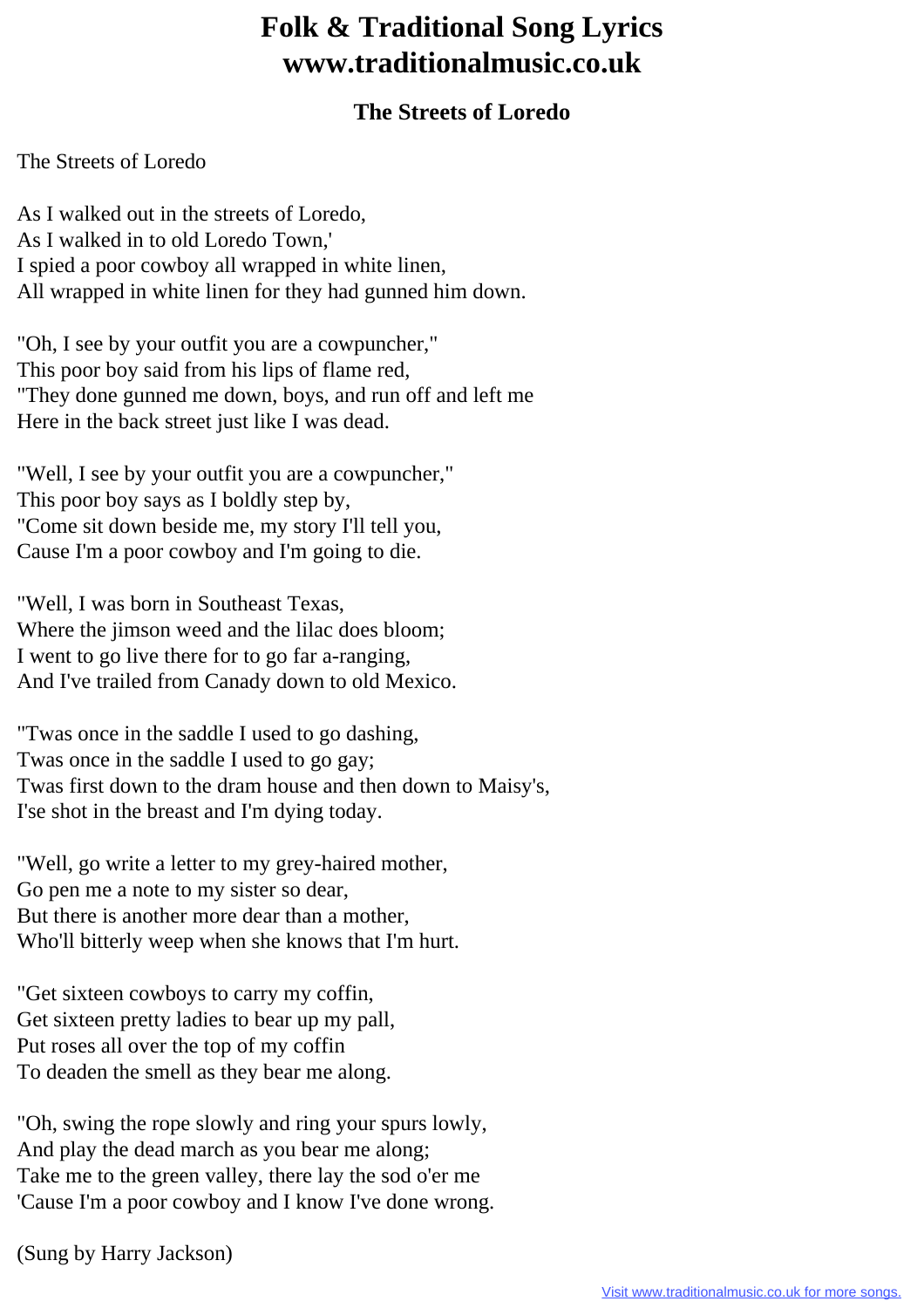## **Folk & Traditional Song Lyrics www.traditionalmusic.co.uk**

## **The Streets of Loredo**

## The Streets of Loredo

As I walked out in the streets of Loredo, As I walked in to old Loredo Town,' I spied a poor cowboy all wrapped in white linen, All wrapped in white linen for they had gunned him down.

"Oh, I see by your outfit you are a cowpuncher," This poor boy said from his lips of flame red, "They done gunned me down, boys, and run off and left me Here in the back street just like I was dead.

"Well, I see by your outfit you are a cowpuncher," This poor boy says as I boldly step by, "Come sit down beside me, my story I'll tell you, Cause I'm a poor cowboy and I'm going to die.

"Well, I was born in Southeast Texas, Where the jimson weed and the lilac does bloom; I went to go live there for to go far a-ranging, And I've trailed from Canady down to old Mexico.

"Twas once in the saddle I used to go dashing, Twas once in the saddle I used to go gay; Twas first down to the dram house and then down to Maisy's, I'se shot in the breast and I'm dying today.

"Well, go write a letter to my grey-haired mother, Go pen me a note to my sister so dear, But there is another more dear than a mother, Who'll bitterly weep when she knows that I'm hurt.

"Get sixteen cowboys to carry my coffin, Get sixteen pretty ladies to bear up my pall, Put roses all over the top of my coffin To deaden the smell as they bear me along.

"Oh, swing the rope slowly and ring your spurs lowly, And play the dead march as you bear me along; Take me to the green valley, there lay the sod o'er me 'Cause I'm a poor cowboy and I know I've done wrong.

(Sung by Harry Jackson)